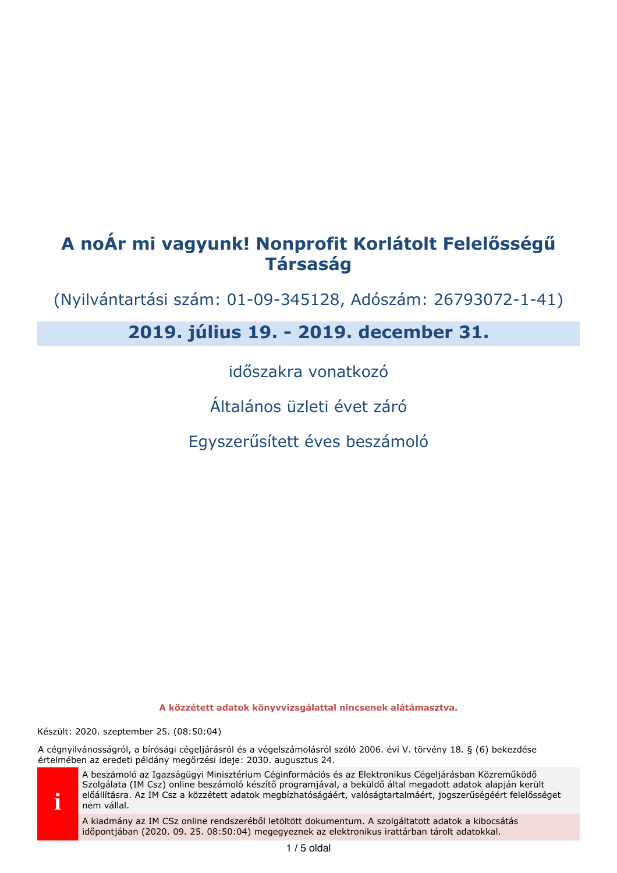# A noÁr mi vagyunk! Nonprofit Korlátolt Felelősségű **Társaság**

(Nyilvántartási szám: 01-09-345128, Adószám: 26793072-1-41)

# 2019. július 19. - 2019. december 31.

időszakra vonatkozó

Általános üzleti évet záró

Egyszerűsített éves beszámoló

A közzétett adatok könyvvizsgálattal nincsenek alátámasztva.

Készült: 2020. szeptember 25. (08:50:04)

A cégnyilvánosságról, a bírósági cégeljárásról és a végelszámolásról szóló 2006. évi V. törvény 18. § (6) bekezdése értelmében az eredeti példány megőrzési ideje: 2030. augusztus 24.



A beszámoló az Igazságügyi Minisztérium Céginformációs és az Elektronikus Cégeljárásban Közreműködő Szolgálata (IM Csz) online beszámoló készítő programjával, a beküldő által megadott adatok alapján került előállításra. Az IM Csz a közzétett adatok megbízhatóságáért, valóságtartalmáért, jogszerűségéért felelősséget nem vállal.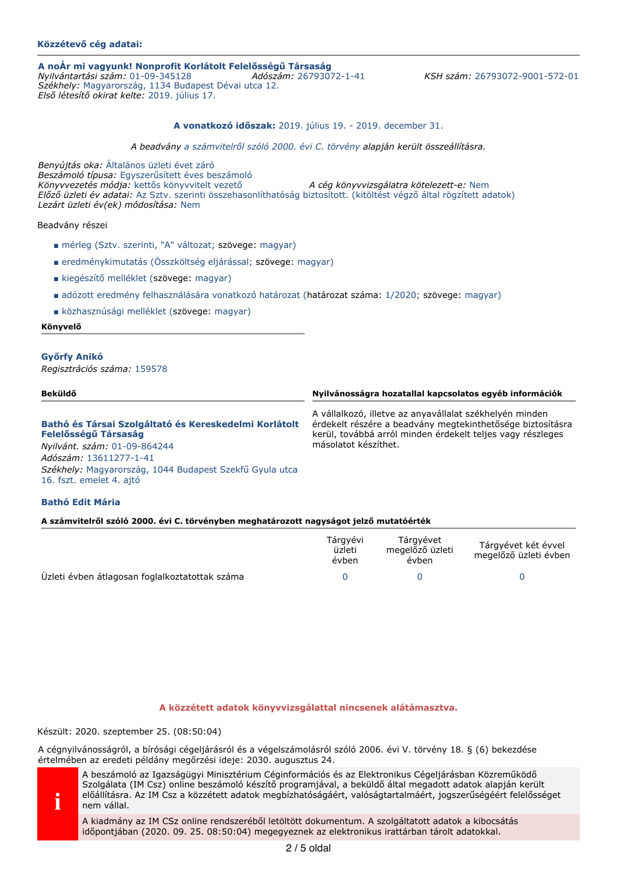# Közzétevő cég adatai:

# A noÁr mi vagyunk! Nonprofit Korlátolt Felelősségű Társaság

Nyilvántartási szám: 01-09-345128 Adószám: 26793072-1-41 Székhely: Magyarország, 1134 Budapest Dévai utca 12. Első létesítő okirat kelte: 2019. július 17.

KSH szám: 26793072-9001-572-01

### A vonatkozó időszak: 2019. július 19. - 2019. december 31.

A beadvány a számvitelről szóló 2000. évi C. törvény alapján került összeállításra.

Benyújtás oka: Általános üzleti évet záró Beszámoló típusa: Egyszerűsített éves beszámoló Könyvvezetés módja: kettős könyvvitelt vezető A cég könyvvizsgálatra kötelezett-e: Nem Előző üzleti év adatai: Az Sztv. szerinti összehasonlíthatóság biztosított. (kitöltést végző által rögzített adatok) Lezárt üzleti év(ek) módosítása: Nem

#### Beadvány részei

- mérleg (Sztv. szerinti, "A" változat; szövege: magyar)
- eredménykimutatás (Összköltség eljárással; szövege: magyar)
- kiegészítő melléklet (szövege: magyar)
- adózott eredmény felhasználására vonatkozó határozat (határozat száma: 1/2020; szövege: magyar)
- közhasznúsági melléklet (szövege: magyar)

#### Könyvelő

#### **Győrfy Anikó**

Regisztrációs száma: 159578

| Beküldő                                                                                                                                                                                                                        | Nyilvánosságra hozatallal kapcsolatos egyéb információk                                                                                                                                                     |
|--------------------------------------------------------------------------------------------------------------------------------------------------------------------------------------------------------------------------------|-------------------------------------------------------------------------------------------------------------------------------------------------------------------------------------------------------------|
| Bathó és Társai Szolgáltató és Kereskedelmi Korlátolt<br>Felelősségű Társaság<br>Nyilvánt. szám: 01-09-864244<br>Adószám: 13611277-1-41<br>Székhely: Magyarország, 1044 Budapest Szekfű Gyula utca<br>16. fszt. emelet 4. ajtó | A vállalkozó, illetve az anyavállalat székhelyén minden<br>érdekelt részére a beadvány megtekinthetősége biztosításra<br>kerül, továbbá arról minden érdekelt teljes vagy részleges<br>másolatot készíthet. |
|                                                                                                                                                                                                                                |                                                                                                                                                                                                             |

# **Bathó Edit Mária**

#### A számvitelről szóló 2000. évi C. törvényben meghatározott nagyságot jelző mutatóérték

|                                                | Tárgyévi<br>üzleti<br>évben | Tárgyévet<br>megelőző üzleti<br>évben | Tárgyévet két évvel<br>megelőző üzleti évben |
|------------------------------------------------|-----------------------------|---------------------------------------|----------------------------------------------|
| Üzleti évben átlagosan foglalkoztatottak száma |                             |                                       |                                              |

#### A közzétett adatok könyvvizsgálattal nincsenek alátámasztva.

Készült: 2020. szeptember 25. (08:50:04)

A cégnyilvánosságról, a bírósági cégeljárásról és a végelszámolásról szóló 2006. évi V. törvény 18. § (6) bekezdése értelmében az eredeti példány megőrzési ideje: 2030. augusztus 24.



A beszámoló az Igazságügyi Minisztérium Céginformációs és az Elektronikus Cégeljárásban Közreműködő Szolgálata (IM Csz) online beszámoló készítő programjával, a beküldő által megadott adatok alapján került előállításra. Az IM Csz a közzétett adatok megbízhatóságáért, valóságtartalmáért, jogszerűségéért felelősséget nem vállal.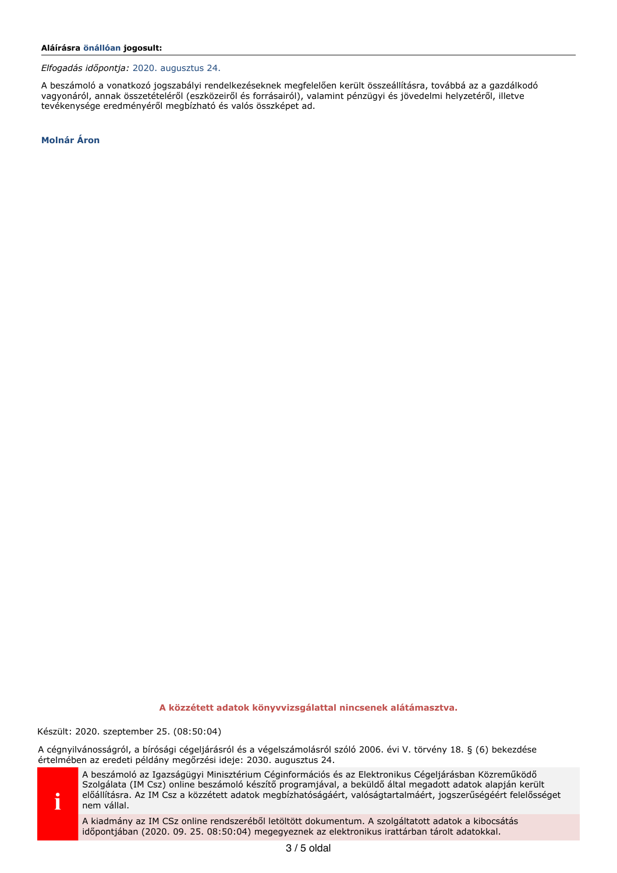Elfogadás időpontja: 2020. augusztus 24.

A beszámoló a vonatkozó jogszabályi rendelkezéseknek megfelelően került összeállításra, továbbá az a gazdálkodó vagyonáról, annak összetételéről (eszközeiről és forrásairól), valamint pénzügyi és jövedelmi helyzetéről, illetve tevékenysége eredményéről megbízható és valós összképet ad.

**Molnár Áron** 

A közzétett adatok könyvvizsgálattal nincsenek alátámasztva.

Készült: 2020. szeptember 25. (08:50:04)

A cégnyilvánosságról, a bírósági cégeljárásról és a végelszámolásról szóló 2006. évi V. törvény 18. § (6) bekezdése értelmében az eredeti példány megőrzési ideje: 2030. augusztus 24.



A beszámoló az Igazságügyi Minisztérium Céginformációs és az Elektronikus Cégeljárásban Közreműködő Szolgálata (IM Csz) online beszámoló készítő programjával, a beküldő által megadott adatok alapján került előállításra. Az IM Csz a közzétett adatok megbízhatóságáért, valóságtartalmáért, jogszerűségéért felelősséget nem vállal.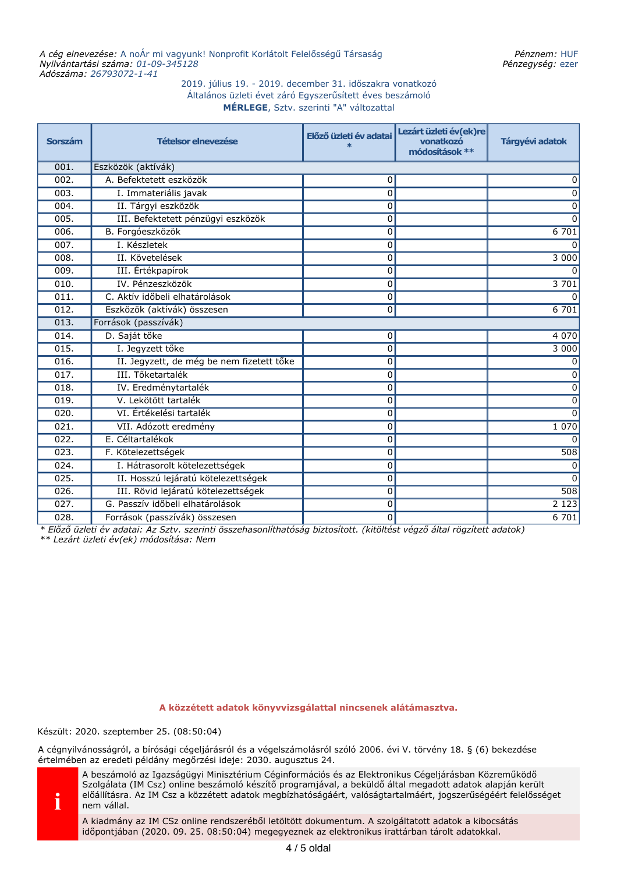# 2019. július 19. - 2019. december 31. időszakra vonatkozó Általános üzleti évet záró Egyszerűsített éves beszámoló MÉRLEGE, Sztv. szerinti "A" változattal

| <b>Sorszám</b> | <b>Tételsor elnevezése</b>                | Előző üzleti év adatai<br>$\ast$ | Lezárt üzleti év(ek)re<br>vonatkozó<br>módosítások ** | Tárgyévi adatok  |  |  |
|----------------|-------------------------------------------|----------------------------------|-------------------------------------------------------|------------------|--|--|
| 001.           | Eszközök (aktívák)                        |                                  |                                                       |                  |  |  |
| 002.           | A. Befektetett eszközök                   | 0                                |                                                       | 0                |  |  |
| 003.           | I. Immateriális javak                     | 0                                |                                                       | 0                |  |  |
| 004.           | II. Tárgyi eszközök                       | $\mathbf 0$                      |                                                       | 0                |  |  |
| 005.           | III. Befektetett pénzügyi eszközök        | 0                                |                                                       | $\Omega$         |  |  |
| 006.           | B. Forgóeszközök                          | 0                                |                                                       | 6701             |  |  |
| 007.           | I. Készletek                              | $\mathbf 0$                      |                                                       | 0                |  |  |
| 008.           | II. Követelések                           | $\Omega$                         |                                                       | 3 000            |  |  |
| 009.           | III. Értékpapírok                         | 0                                |                                                       | O                |  |  |
| 010.           | IV. Pénzeszközök                          | $\mathbf 0$                      |                                                       | 3 701            |  |  |
| 011.           | C. Aktív időbeli elhatárolások            | 0                                |                                                       | 0                |  |  |
| 012.           | Eszközök (aktívák) összesen               | 0                                |                                                       | 6 701            |  |  |
| 013.           | Források (passzívák)                      |                                  |                                                       |                  |  |  |
| 014.           | D. Saját tőke                             | 0                                |                                                       | 4 0 7 0          |  |  |
| 015.           | I. Jegyzett tőke                          | $\Omega$                         |                                                       | 3 0 0 0          |  |  |
| 016.           | II. Jegyzett, de még be nem fizetett tőke | 0                                |                                                       | 0                |  |  |
| 017.           | III. Tőketartalék                         | $\mathbf 0$                      |                                                       | 0                |  |  |
| 018.           | IV. Eredménytartalék                      | $\mathbf 0$                      |                                                       | 0                |  |  |
| 019.           | V. Lekötött tartalék                      | $\mathbf 0$                      |                                                       | 0                |  |  |
| 020.           | VI. Értékelési tartalék                   | 0                                |                                                       | $\Omega$         |  |  |
| 021.           | VII. Adózott eredmény                     | $\mathbf 0$                      |                                                       | 1 0 7 0          |  |  |
| 022.           | E. Céltartalékok                          | $\Omega$                         |                                                       |                  |  |  |
| 023.           | F. Kötelezettségek                        | 0                                |                                                       | $\overline{508}$ |  |  |
| 024.           | I. Hátrasorolt kötelezettségek            | 0                                |                                                       | 0                |  |  |
| 025.           | II. Hosszú lejáratú kötelezettségek       | 0                                |                                                       | $\Omega$         |  |  |
| 026.           | III. Rövid lejáratú kötelezettségek       | 0                                |                                                       | 508              |  |  |
| 027.           | G. Passzív időbeli elhatárolások          | 0                                |                                                       | 2123             |  |  |
| 028.           | Források (passzívák) összesen             | 0                                |                                                       | 6701             |  |  |

 $^*$  Előző üzleti év adatai: Az Sztv. szerinti összehasonlíthatóság biztosított. (kitöltést végző által rögzített adatok) \*\* Lezárt üzleti év(ek) módosítása: Nem

A közzétett adatok könyvvizsgálattal nincsenek alátámasztva.

Készült: 2020. szeptember 25. (08:50:04)

A cégnyilvánosságról, a bírósági cégeljárásról és a végelszámolásról szóló 2006. évi V. törvény 18. § (6) bekezdése értelmében az eredeti példány megőrzési ideje: 2030. augusztus 24.



A beszámoló az Igazságügyi Minisztérium Céginformációs és az Elektronikus Cégeljárásban Közreműködő Szolgálata (IM Csz) online beszámoló készítő programjával, a beküldő által megadott adatok alapján került előállításra. Az IM Csz a közzétett adatok megbízhatóságáért, valóságtartalmáért, jogszerűségéért felelősséget nem vállal.